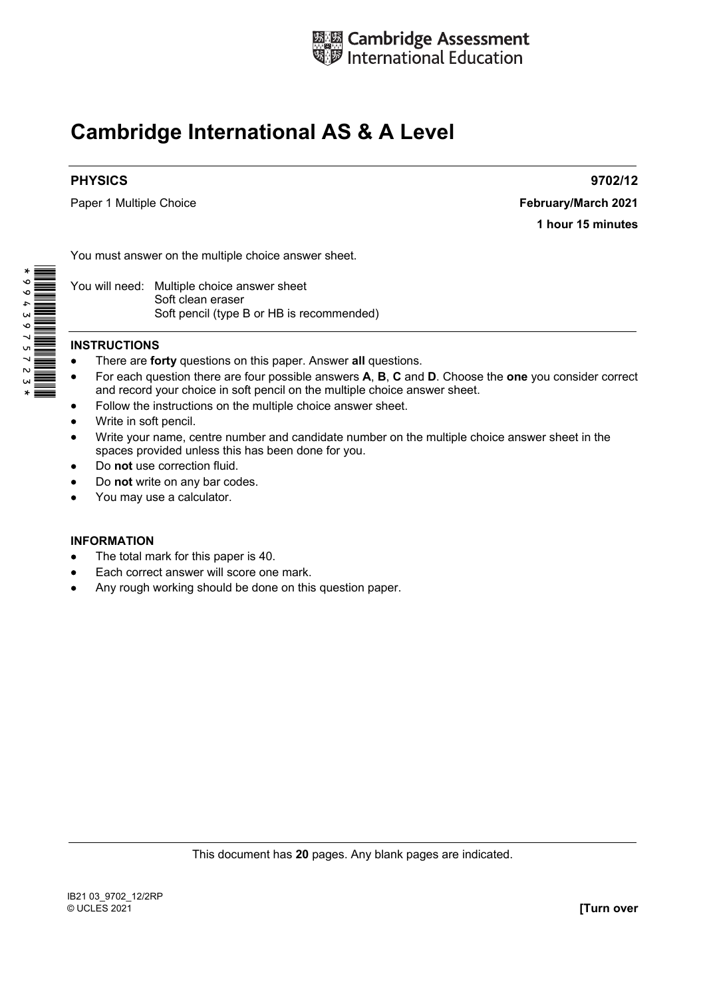

# **Cambridge International AS & A Level**

## **PHYSICS 9702/12**

Paper 1 Multiple Choice **February/March 2021** 

**1 hour 15 minutes** 

You must answer on the multiple choice answer sheet.

You will need: Multiple choice answer sheet Soft clean eraser Soft pencil (type B or HB is recommended)

#### **INSTRUCTIONS**

- There are **forty** questions on this paper. Answer **all** questions.
- For each question there are four possible answers **A**, **B**, **C** and **D**. Choose the **one** you consider correct and record your choice in soft pencil on the multiple choice answer sheet.
- Follow the instructions on the multiple choice answer sheet.
- Write in soft pencil.
- Write your name, centre number and candidate number on the multiple choice answer sheet in the spaces provided unless this has been done for you.
- Do **not** use correction fluid.
- Do **not** write on any bar codes.
- You may use a calculator.

#### **INFORMATION**

- The total mark for this paper is 40.
- Each correct answer will score one mark.
- Any rough working should be done on this question paper.

This document has **20** pages. Any blank pages are indicated.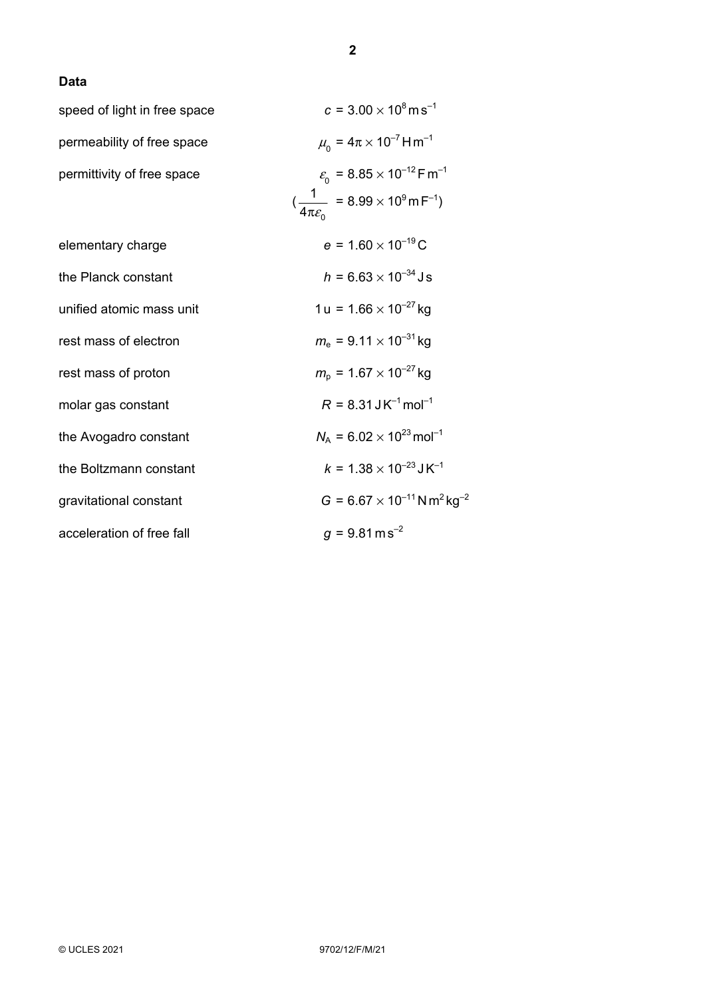### **Data**

| speed of light in free space | $c = 3.00 \times 10^8$ m s <sup>-1</sup>                                    |
|------------------------------|-----------------------------------------------------------------------------|
| permeability of free space   | $\mu_{0} = 4\pi \times 10^{-7}$ H m <sup>-1</sup>                           |
| permittivity of free space   | $\varepsilon_{0}$ = 8.85 $\times$ 10 <sup>-12</sup> F m <sup>-1</sup>       |
|                              | $\left(\frac{1}{4\pi\epsilon_0} = 8.99 \times 10^9 \text{ m F}^{-1}\right)$ |
| elementary charge            | $e = 1.60 \times 10^{-19}$ C                                                |
| the Planck constant          | $h = 6.63 \times 10^{-34}$ Js                                               |
| unified atomic mass unit     | $1 u = 1.66 \times 10^{-27}$ kg                                             |
| rest mass of electron        | $m_e = 9.11 \times 10^{-31}$ kg                                             |
| rest mass of proton          | $m_{\rm p}$ = 1.67 $\times$ 10 <sup>-27</sup> kg                            |
| molar gas constant           | $R = 8.31$ J K <sup>-1</sup> mol <sup>-1</sup>                              |
| the Avogadro constant        | $N_A = 6.02 \times 10^{23}$ mol <sup>-1</sup>                               |
| the Boltzmann constant       | $k = 1.38 \times 10^{-23}$ J K <sup>-1</sup>                                |
| gravitational constant       | $G = 6.67 \times 10^{-11}$ N m <sup>2</sup> kg <sup>-2</sup>                |
| acceleration of free fall    | $g = 9.81 \text{ m s}^{-2}$                                                 |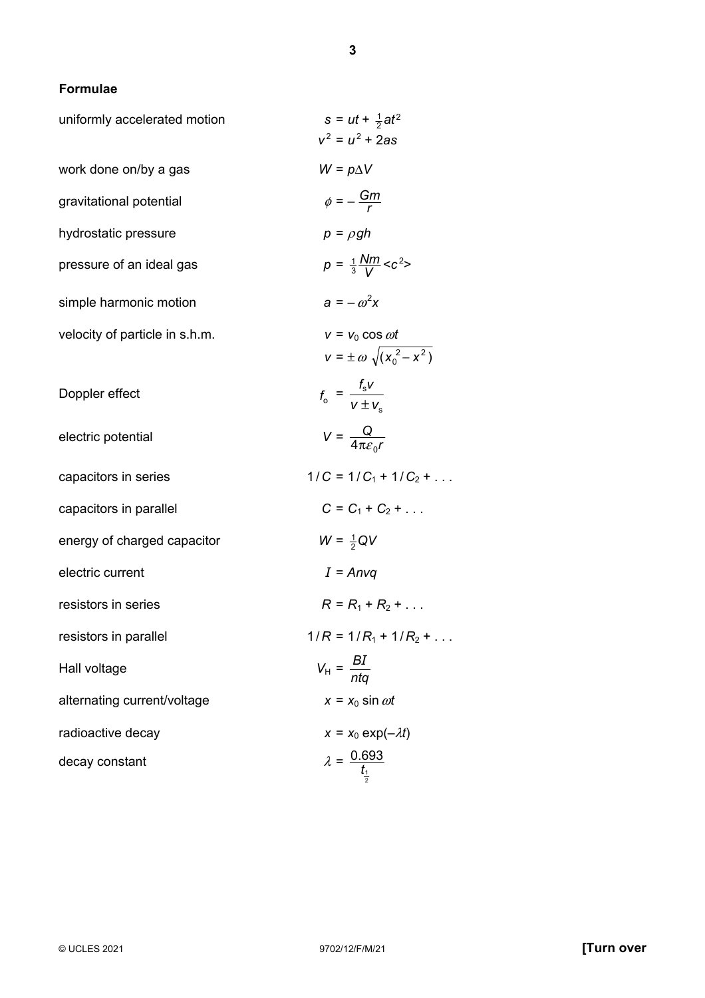**3**

# **Formulae**

| uniformly accelerated motion   | $s = ut + \frac{1}{2}at^2$<br>$v^2 = u^2 + 2as$                  |
|--------------------------------|------------------------------------------------------------------|
| work done on/by a gas          | $W = p\Delta V$                                                  |
| gravitational potential        | $\phi = -\frac{Gm}{r}$                                           |
| hydrostatic pressure           | $p = \rho gh$                                                    |
| pressure of an ideal gas       | $p = \frac{1}{3} \frac{Nm}{V} < c^2$                             |
| simple harmonic motion         | $a = -\omega^2 x$                                                |
| velocity of particle in s.h.m. | $v = v_0 \cos \omega t$<br>$v = \pm \omega \sqrt{(x_0^2 - x^2)}$ |
| Doppler effect                 | $f_0 = \frac{f_s V}{V + V}$                                      |
| electric potential             | $V = \frac{Q}{4\pi \varepsilon_{\rm s} r}$                       |
| capacitors in series           | $1/C = 1/C_1 + 1/C_2 + $                                         |
| capacitors in parallel         | $C = C_1 + C_2 + $                                               |
| energy of charged capacitor    | $W = \frac{1}{2}QV$                                              |
| electric current               | $I = Anvq$                                                       |
| resistors in series            | $R = R_1 + R_2 + $                                               |
| resistors in parallel          | $1/R = 1/R_1 + 1/R_2 + $                                         |
| Hall voltage                   | $V_{\rm H} = \frac{BI}{nta}$                                     |
| alternating current/voltage    | $x = x_0 \sin \omega t$                                          |
| radioactive decay              | $x = x_0 \exp(-\lambda t)$                                       |
| decay constant                 | $\lambda = \frac{0.693}{t_1}$                                    |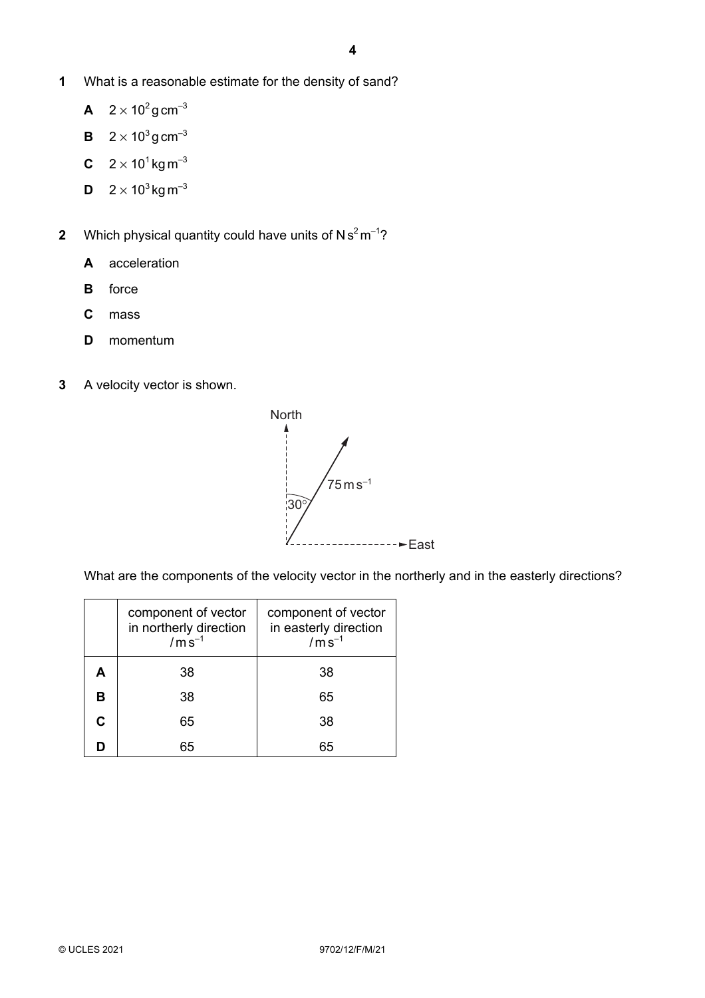- **1** What is a reasonable estimate for the density of sand?
	- **A**  $2 \times 10^2$  g cm<sup>-3</sup>
	- **B**  $2 \times 10^3$  g cm<sup>-3</sup>
	- **C**  $2 \times 10^{1}$  kg m<sup>-3</sup>
	- **D**  $2 \times 10^3$  kg m<sup>-3</sup>
- **2** Which physical quantity could have units of  $Ns^2m^{-1}$ ?
	- **A** acceleration
	- **B** force
	- **C** mass
	- **D** momentum
- **3** A velocity vector is shown.



What are the components of the velocity vector in the northerly and in the easterly directions?

|   | component of vector<br>in northerly direction<br>$/ms^{-1}$ | component of vector<br>in easterly direction<br>$/m\$ {s}^{-1} |  |
|---|-------------------------------------------------------------|----------------------------------------------------------------|--|
| А | 38                                                          | 38                                                             |  |
| в | 38                                                          | 65                                                             |  |
| C | 65                                                          | 38                                                             |  |
|   | 65                                                          | 65                                                             |  |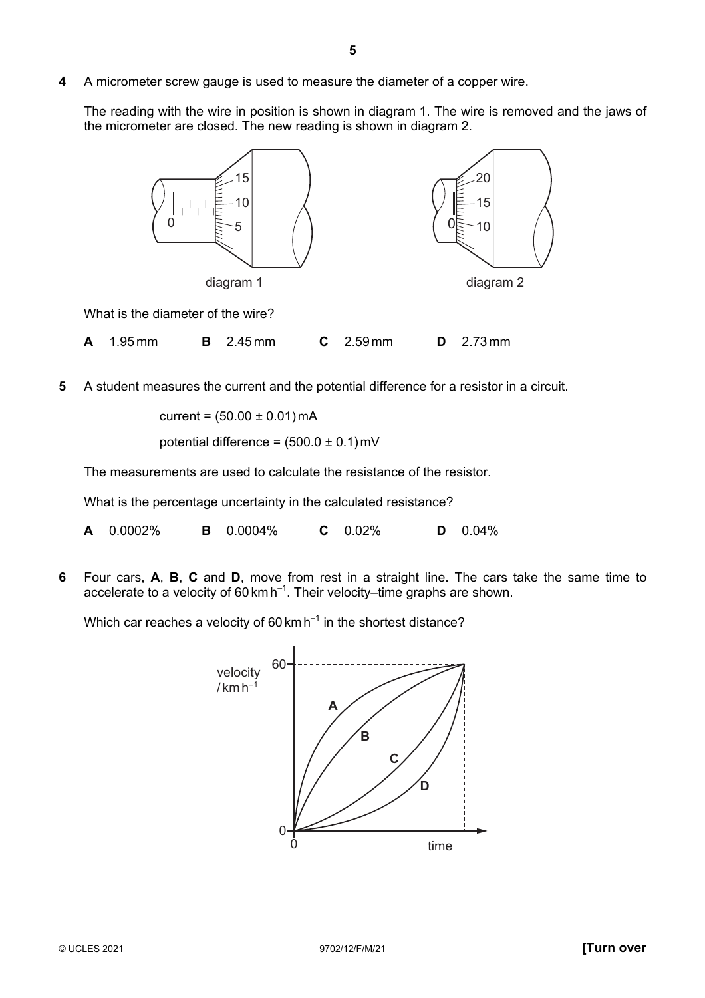**4** A micrometer screw gauge is used to measure the diameter of a copper wire.

The reading with the wire in position is shown in diagram 1. The wire is removed and the jaws of the micrometer are closed. The new reading is shown in diagram 2.



- **A** 1.95 mm **B** 2.45 mm **C** 2.59 mm **D** 2.73 mm
- **5** A student measures the current and the potential difference for a resistor in a circuit.

current =  $(50.00 \pm 0.01)$  mA

potential difference =  $(500.0 \pm 0.1)$  mV

The measurements are used to calculate the resistance of the resistor.

What is the percentage uncertainty in the calculated resistance?

**A** 0.0002% **B** 0.0004% **C** 0.02% **D** 0.04%

**6** Four cars, **A**, **B**, **C** and **D**, move from rest in a straight line. The cars take the same time to accelerate to a velocity of 60 km h–1. Their velocity–time graphs are shown.

Which car reaches a velocity of  $60 \text{ km h}^{-1}$  in the shortest distance?

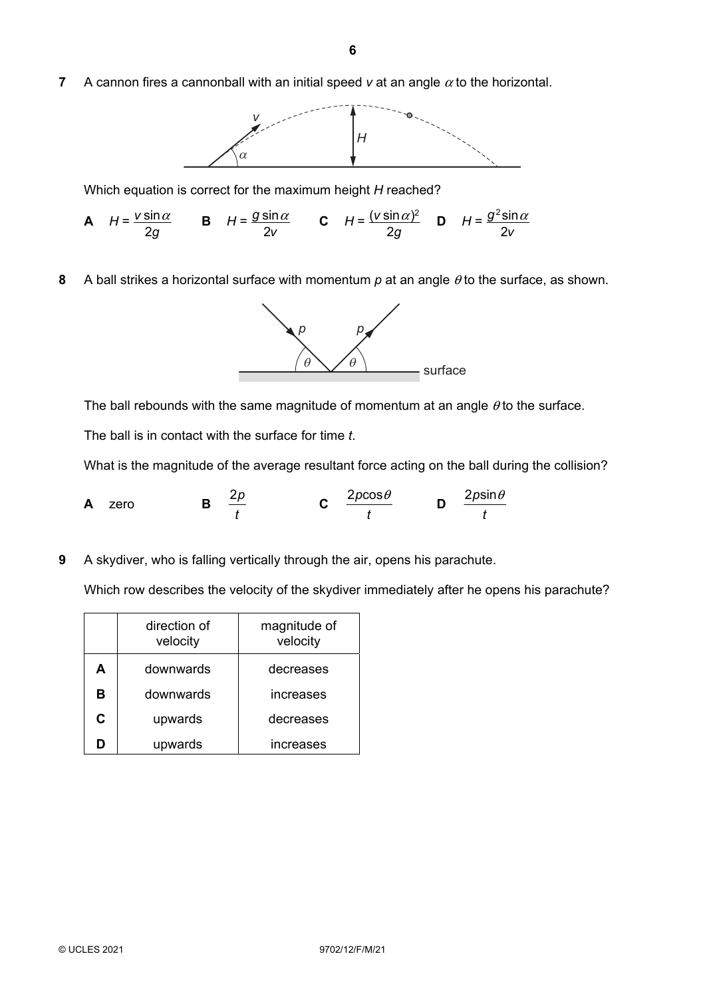**7** A cannon fires a cannonball with an initial speed  $v$  at an angle  $\alpha$  to the horizontal.



Which equation is correct for the maximum height *H* reached?



**8** A ball strikes a horizontal surface with momentum *p* at an angle θ to the surface, as shown.



The ball rebounds with the same magnitude of momentum at an angle  $\theta$  to the surface.

The ball is in contact with the surface for time *t*.

What is the magnitude of the average resultant force acting on the ball during the collision?

**A** zero **B**  $\frac{2p}{p}$ *t* **C**  $\frac{2p\cos\theta}{\theta}$ *t* **D**  $\frac{2p\sin\theta}{\theta}$ *t*

**9** A skydiver, who is falling vertically through the air, opens his parachute.

Which row describes the velocity of the skydiver immediately after he opens his parachute?

|   | direction of<br>velocity | magnitude of<br>velocity |  |  |
|---|--------------------------|--------------------------|--|--|
| А | downwards                | decreases                |  |  |
| в | downwards                | increases                |  |  |
| C | upwards                  | decreases                |  |  |
| n | upwards                  | increases                |  |  |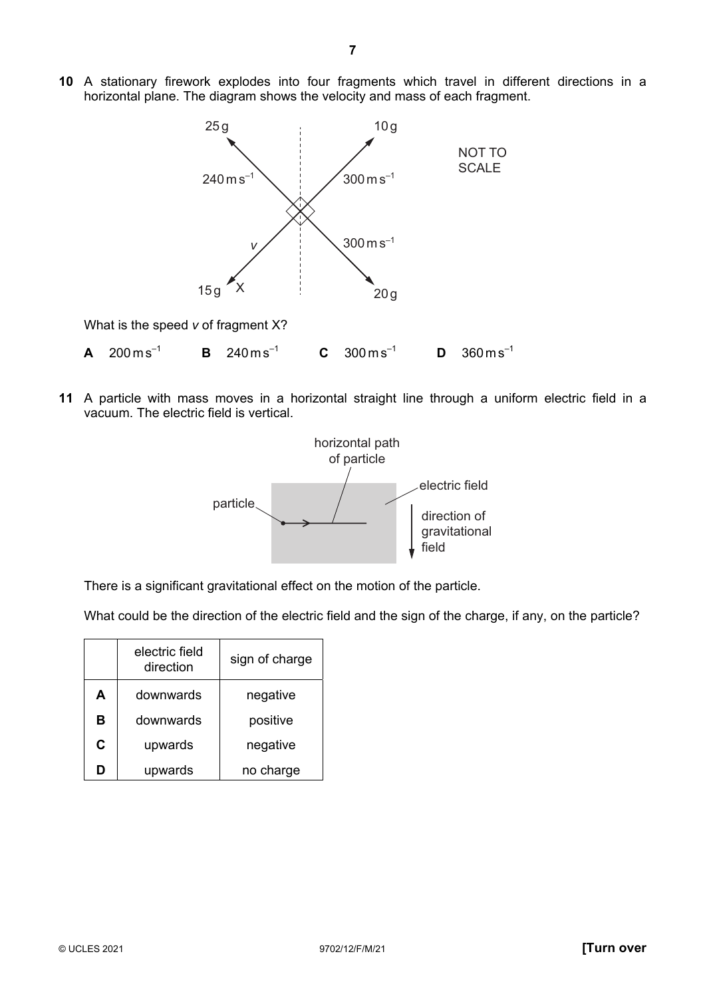

**11** A particle with mass moves in a horizontal straight line through a uniform electric field in a vacuum. The electric field is vertical.



There is a significant gravitational effect on the motion of the particle.

What could be the direction of the electric field and the sign of the charge, if any, on the particle?

|    | electric field<br>sign of charge<br>direction |           |  |  |
|----|-----------------------------------------------|-----------|--|--|
| Α  | downwards                                     | negative  |  |  |
| в  | downwards                                     | positive  |  |  |
| C. | upwards                                       | negative  |  |  |
|    | upwards                                       | no charge |  |  |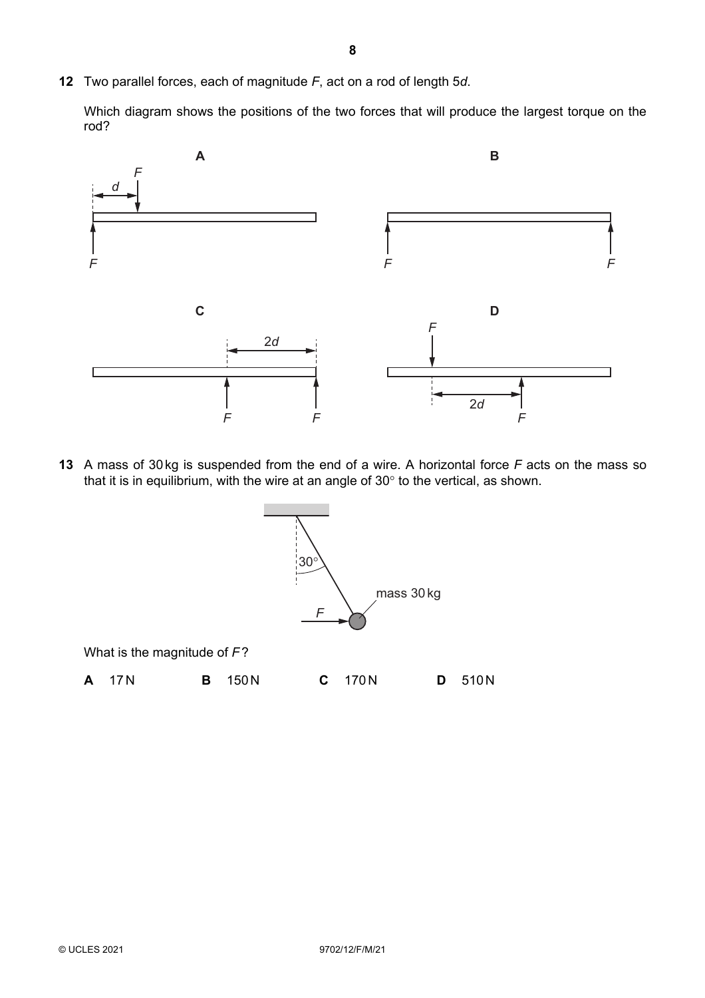**12** Two parallel forces, each of magnitude *F*, act on a rod of length 5*d*.

Which diagram shows the positions of the two forces that will produce the largest torque on the rod?



**13** A mass of 30 kg is suspended from the end of a wire. A horizontal force *F* acts on the mass so that it is in equilibrium, with the wire at an angle of 30° to the vertical, as shown.

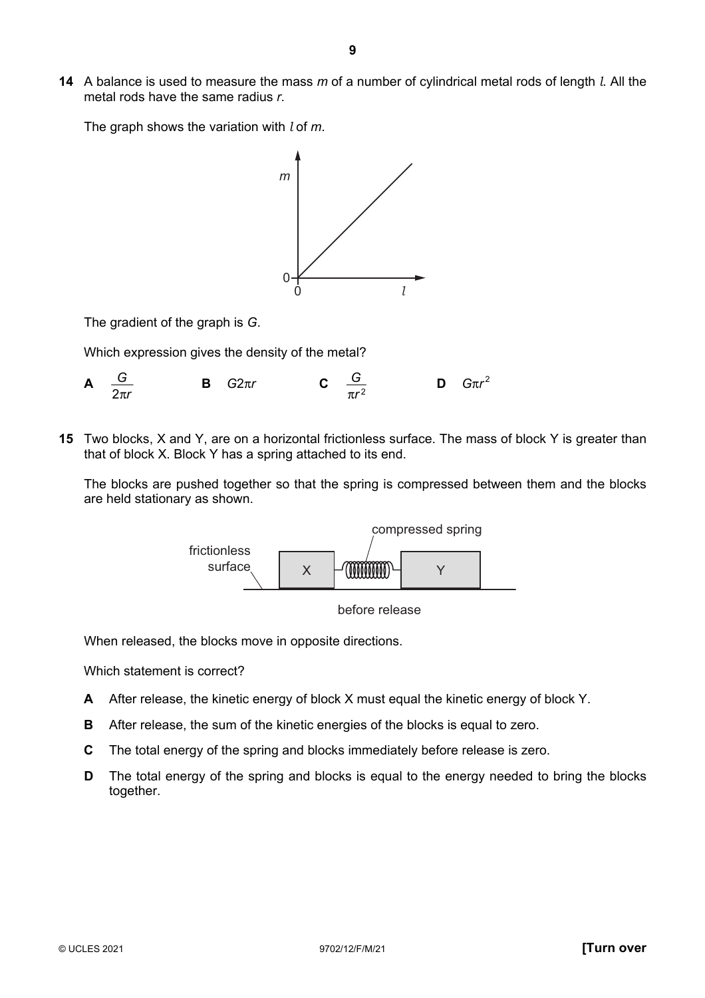**14** A balance is used to measure the mass *m* of a number of cylindrical metal rods of length *l*. All the metal rods have the same radius *r*.

The graph shows the variation with *l* of *m*.



The gradient of the graph is *G*.

Which expression gives the density of the metal?

**A** 2 *G* π*r* **B** *G*2π*r* **C** 2 *G* π*r* **D**  $G\pi r^2$ 

**15** Two blocks, X and Y, are on a horizontal frictionless surface. The mass of block Y is greater than that of block X. Block Y has a spring attached to its end.

The blocks are pushed together so that the spring is compressed between them and the blocks are held stationary as shown.





When released, the blocks move in opposite directions.

Which statement is correct?

- **A** After release, the kinetic energy of block X must equal the kinetic energy of block Y.
- **B** After release, the sum of the kinetic energies of the blocks is equal to zero.
- **C** The total energy of the spring and blocks immediately before release is zero.
- **D** The total energy of the spring and blocks is equal to the energy needed to bring the blocks together.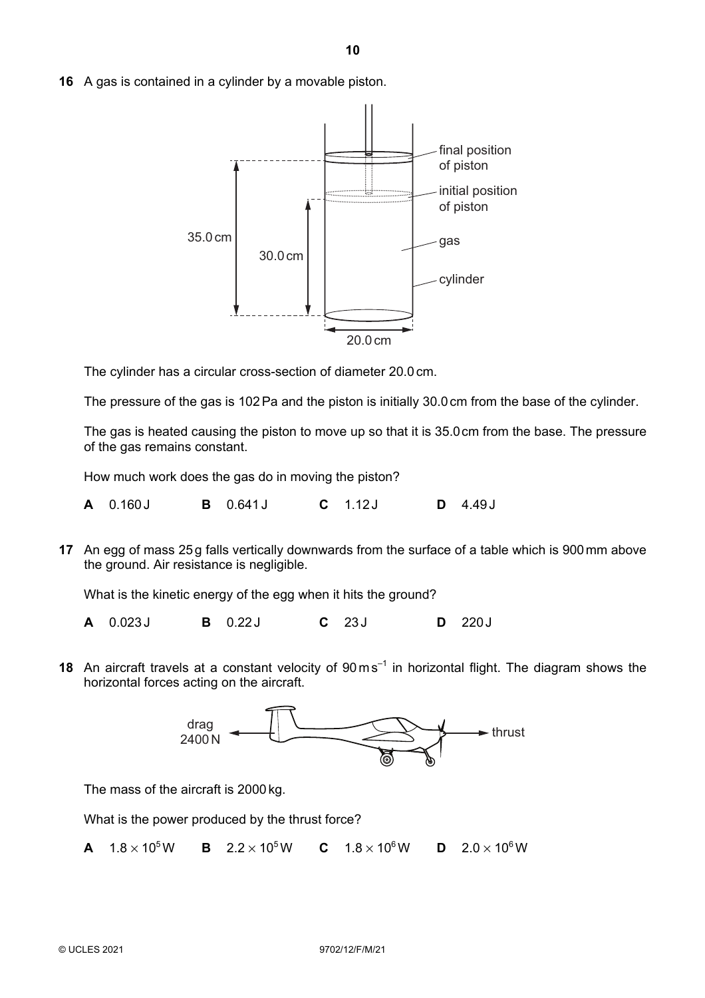**16** A gas is contained in a cylinder by a movable piston.



The cylinder has a circular cross-section of diameter 20.0 cm.

The pressure of the gas is 102 Pa and the piston is initially 30.0 cm from the base of the cylinder.

The gas is heated causing the piston to move up so that it is 35.0cm from the base. The pressure of the gas remains constant.

How much work does the gas do in moving the piston?

**A** 0.160 J **B** 0.641 J **C** 1.12 J **D** 4.49 J

**17** An egg of mass 25g falls vertically downwards from the surface of a table which is 900mm above the ground. Air resistance is negligible.

What is the kinetic energy of the egg when it hits the ground?

**A** 0.023 J **B** 0.22 J **C** 23 J **D** 220 J

**18** An aircraft travels at a constant velocity of 90 ms<sup>-1</sup> in horizontal flight. The diagram shows the horizontal forces acting on the aircraft.



The mass of the aircraft is 2000 kg.

What is the power produced by the thrust force?

**A**  $1.8 \times 10^5$ W **B**  $2.2 \times 10^5$ W **C**  $1.8 \times 10^6$ W **D**  $2.0 \times 10^6$ W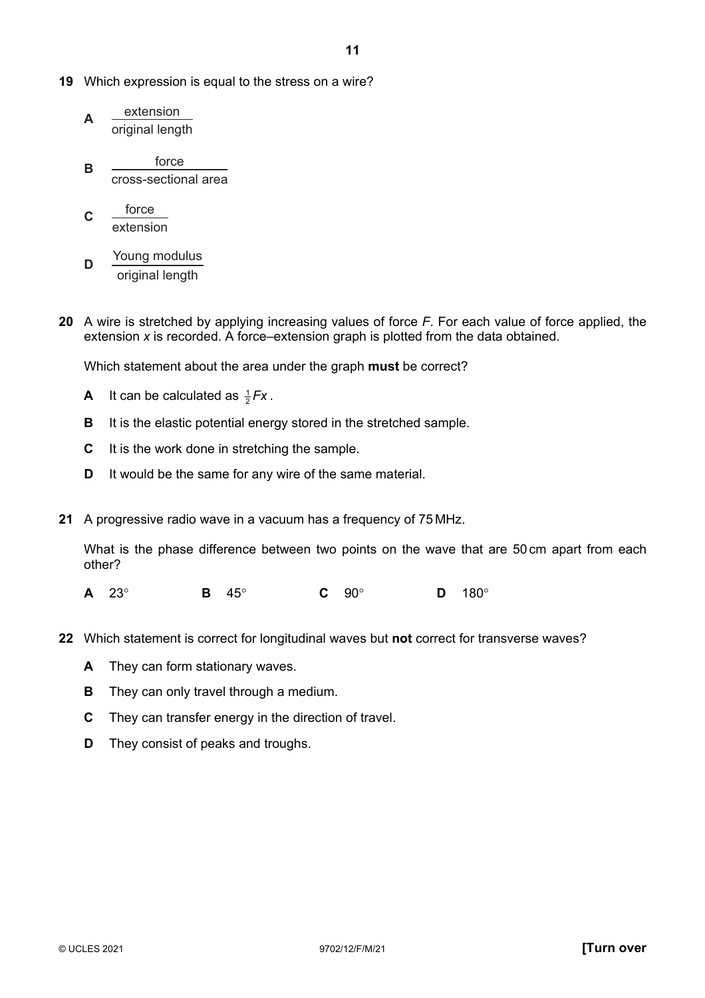- **19** Which expression is equal to the stress on a wire?
	- **A** extension original length
	- **B** <u>force</u> cross-sectional area
	- **C** force extension
	- **D** Young modulus original length
- **20** A wire is stretched by applying increasing values of force *F*. For each value of force applied, the extension *x* is recorded. A force–extension graph is plotted from the data obtained.

Which statement about the area under the graph **must** be correct?

- **A** It can be calculated as  $\frac{1}{2}Fx$ .
- **B** It is the elastic potential energy stored in the stretched sample.
- **C** It is the work done in stretching the sample.
- **D** It would be the same for any wire of the same material.
- **21** A progressive radio wave in a vacuum has a frequency of 75 MHz.

What is the phase difference between two points on the wave that are 50 cm apart from each other?

- **A** 23° **B** 45° **C** 90° **D** 180°
- **22** Which statement is correct for longitudinal waves but **not** correct for transverse waves?
	- **A** They can form stationary waves.
	- **B** They can only travel through a medium.
	- **C** They can transfer energy in the direction of travel.
	- **D** They consist of peaks and troughs.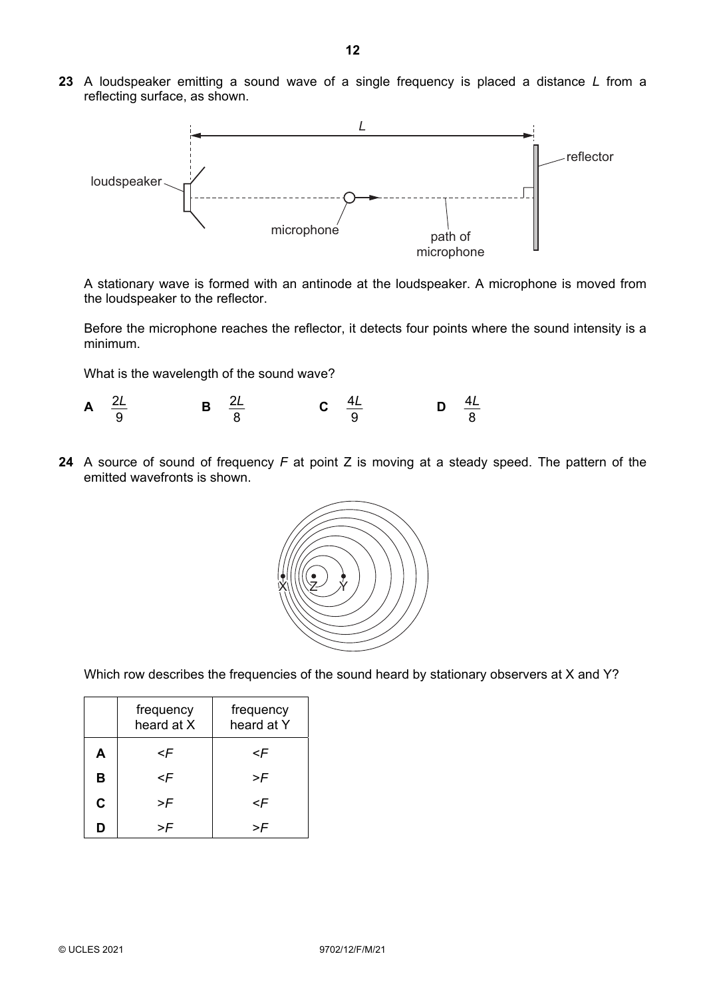**23** A loudspeaker emitting a sound wave of a single frequency is placed a distance *L* from a reflecting surface, as shown.



A stationary wave is formed with an antinode at the loudspeaker. A microphone is moved from the loudspeaker to the reflector.

Before the microphone reaches the reflector, it detects four points where the sound intensity is a minimum.

What is the wavelength of the sound wave?

- $\Delta$  2L  $\overline{Q}$  $\frac{L}{B}$  **B**  $\frac{2}{3}$  $rac{2L}{8}$  $\frac{L}{C}$  **C**  $\frac{4}{3}$ 9  $\frac{L}{D}$  **D**  $\frac{4}{3}$ 8 *L*
- **24** A source of sound of frequency *F* at point Z is moving at a steady speed. The pattern of the emitted wavefronts is shown.



Which row describes the frequencies of the sound heard by stationary observers at X and Y?

|                                                          | frequency<br>heard at X       | frequency<br>heard at Y |  |
|----------------------------------------------------------|-------------------------------|-------------------------|--|
| A<br><f< th=""><th colspan="2"><f< th=""></f<></th></f<> |                               | <f< th=""></f<>         |  |
| B                                                        | <f< th=""><th>&gt;F</th></f<> | >F                      |  |
| $\mathbf C$                                              | >F                            | <f< th=""></f<>         |  |
| D                                                        |                               |                         |  |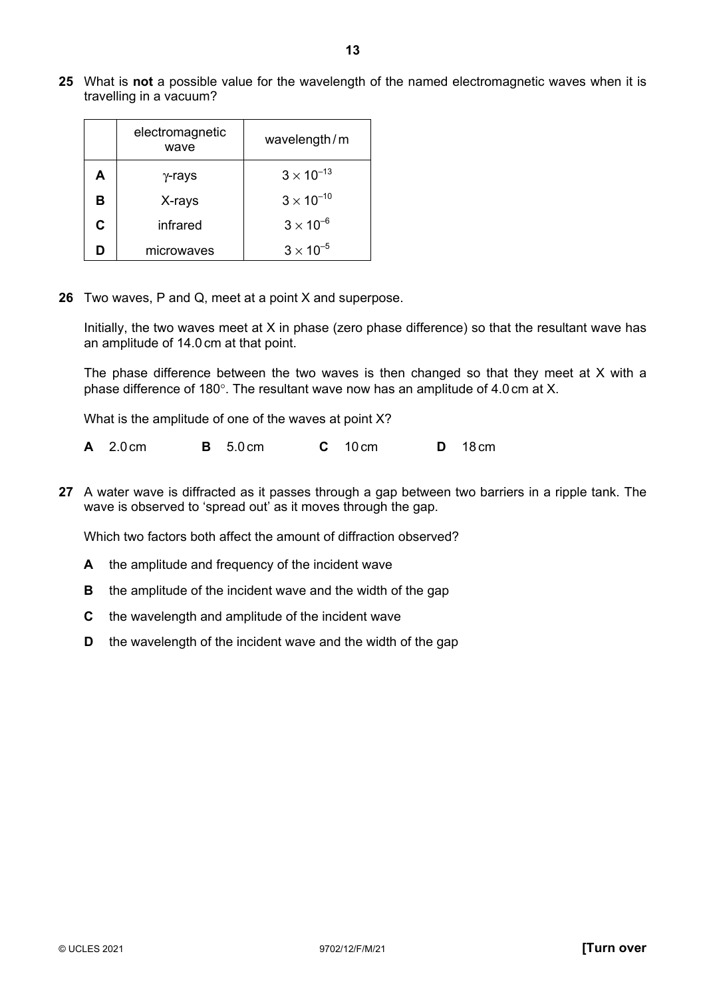**25** What is **not** a possible value for the wavelength of the named electromagnetic waves when it is travelling in a vacuum?

|   | electromagnetic<br>wavelength/m<br>wave |                     |
|---|-----------------------------------------|---------------------|
| А | $\gamma$ -rays                          | $3 \times 10^{-13}$ |
| в | X-rays                                  | $3 \times 10^{-10}$ |
| C | infrared                                | $3 \times 10^{-6}$  |
|   | microwaves                              | $3 \times 10^{-5}$  |

**26** Two waves, P and Q, meet at a point X and superpose.

Initially, the two waves meet at X in phase (zero phase difference) so that the resultant wave has an amplitude of 14.0 cm at that point.

The phase difference between the two waves is then changed so that they meet at X with a phase difference of 180°. The resultant wave now has an amplitude of 4.0 cm at X.

What is the amplitude of one of the waves at point X?

| $A$ 2.0 cm<br><b>B</b> 5.0 cm<br>$C$ 10 cm | <b>D</b> 18 cm |
|--------------------------------------------|----------------|
|--------------------------------------------|----------------|

**27** A water wave is diffracted as it passes through a gap between two barriers in a ripple tank. The wave is observed to 'spread out' as it moves through the gap.

Which two factors both affect the amount of diffraction observed?

- **A** the amplitude and frequency of the incident wave
- **B** the amplitude of the incident wave and the width of the gap
- **C** the wavelength and amplitude of the incident wave
- **D** the wavelength of the incident wave and the width of the gap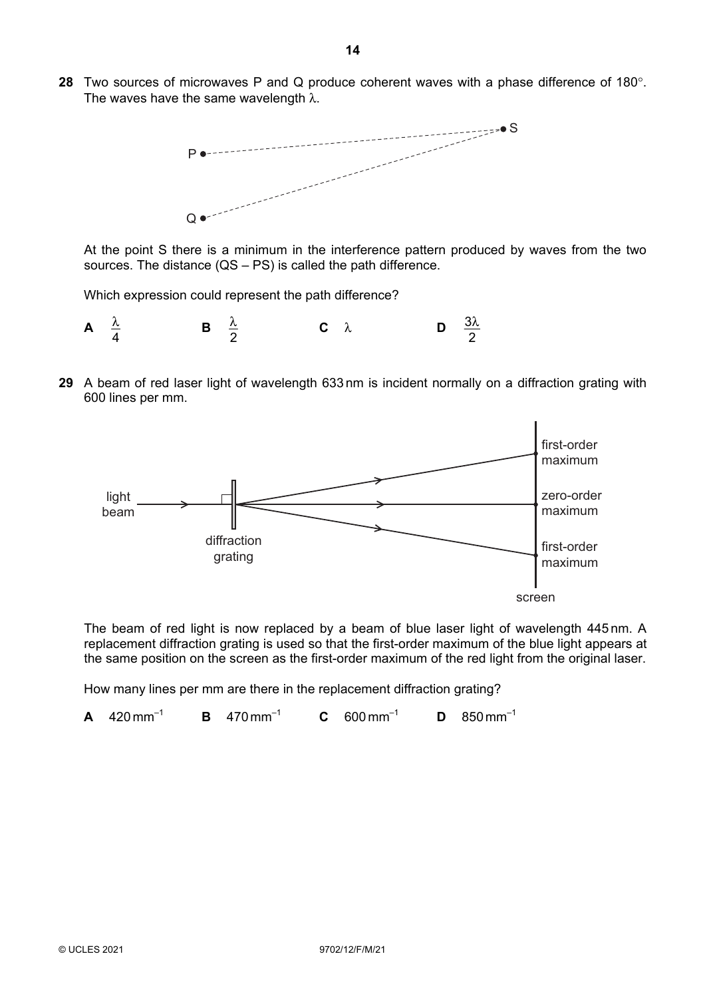**28** Two sources of microwaves P and Q produce coherent waves with a phase difference of 180°. The waves have the same wavelength  $\lambda$ .



At the point S there is a minimum in the interference pattern produced by waves from the two sources. The distance (QS – PS) is called the path difference.

Which expression could represent the path difference?



**29** A beam of red laser light of wavelength 633 nm is incident normally on a diffraction grating with 600 lines per mm.



The beam of red light is now replaced by a beam of blue laser light of wavelength 445 nm. A replacement diffraction grating is used so that the first-order maximum of the blue light appears at the same position on the screen as the first-order maximum of the red light from the original laser.

How many lines per mm are there in the replacement diffraction grating?

**A** 420 mm–1 **B** 470 mm–1 **C** 600 mm–1 **D** 850 mm–1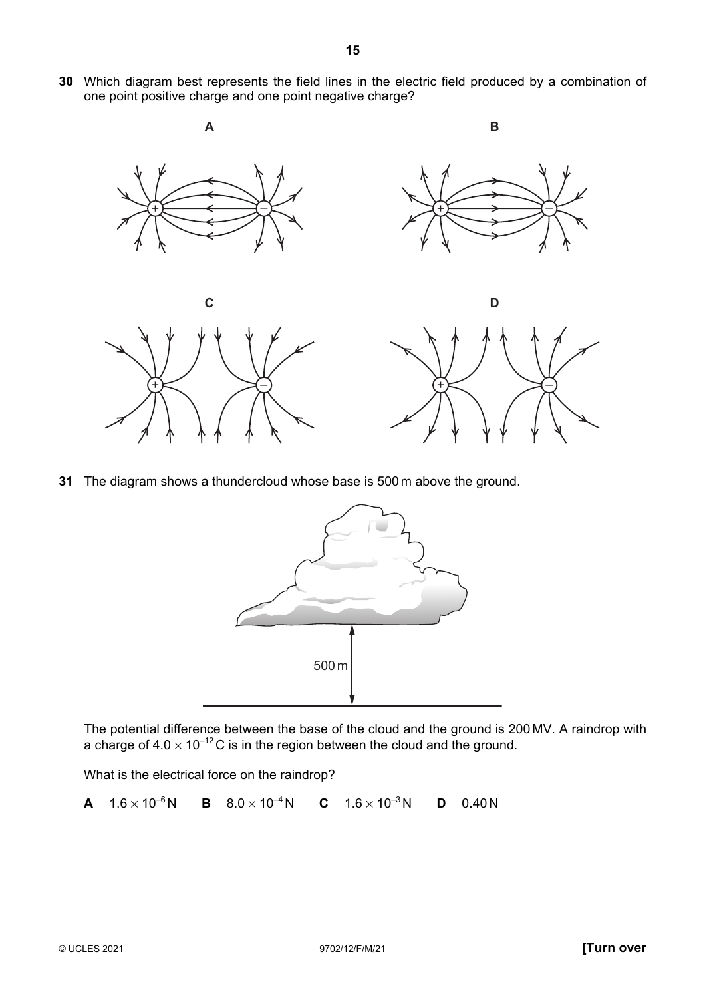**30** Which diagram best represents the field lines in the electric field produced by a combination of one point positive charge and one point negative charge?



**31** The diagram shows a thundercloud whose base is 500 m above the ground.



The potential difference between the base of the cloud and the ground is 200 MV. A raindrop with a charge of  $4.0 \times 10^{-12}$ C is in the region between the cloud and the ground.

What is the electrical force on the raindrop?

**A**  $1.6 \times 10^{-6}$ N **B**  $8.0 \times 10^{-4}$ N **C**  $1.6 \times 10^{-3}$ N **D** 0.40N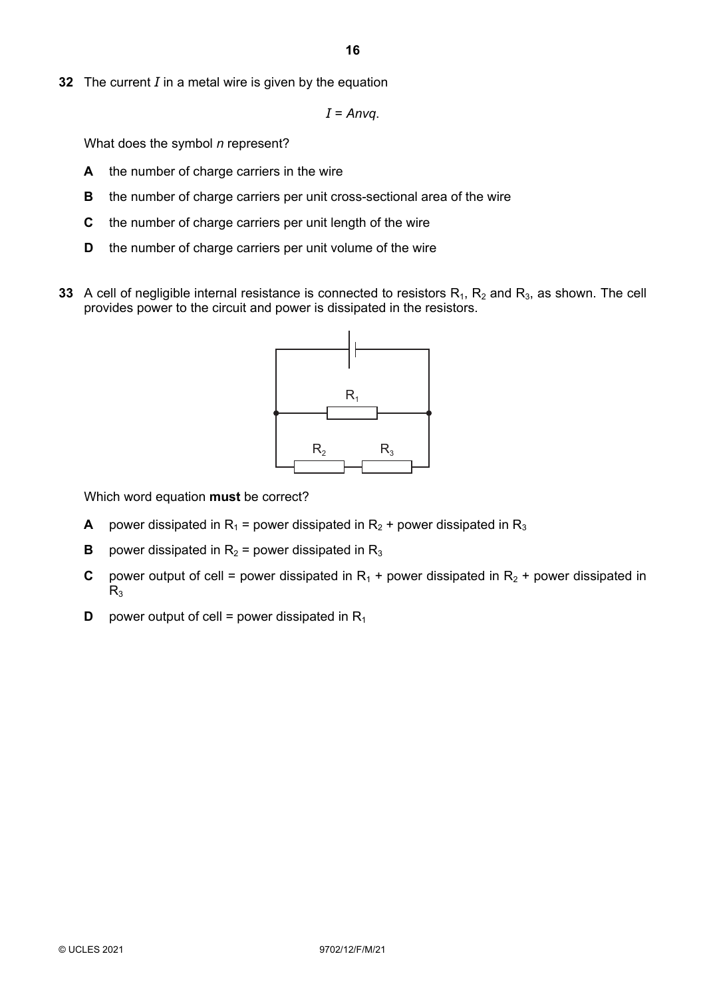**16**

**32** The current *I* in a metal wire is given by the equation

*I* = *Anvq*.

What does the symbol *n* represent?

- **A** the number of charge carriers in the wire
- **B** the number of charge carriers per unit cross-sectional area of the wire
- **C** the number of charge carriers per unit length of the wire
- **D** the number of charge carriers per unit volume of the wire
- **33** A cell of negligible internal resistance is connected to resistors  $R_1$ ,  $R_2$  and  $R_3$ , as shown. The cell provides power to the circuit and power is dissipated in the resistors.



Which word equation **must** be correct?

- **A** power dissipated in R<sub>1</sub> = power dissipated in R<sub>2</sub> + power dissipated in R<sub>3</sub>
- **B** power dissipated in  $R_2$  = power dissipated in  $R_3$
- **C** power output of cell = power dissipated in  $R_1$  + power dissipated in  $R_2$  + power dissipated in  $R<sub>3</sub>$
- **D** power output of cell = power dissipated in  $R_1$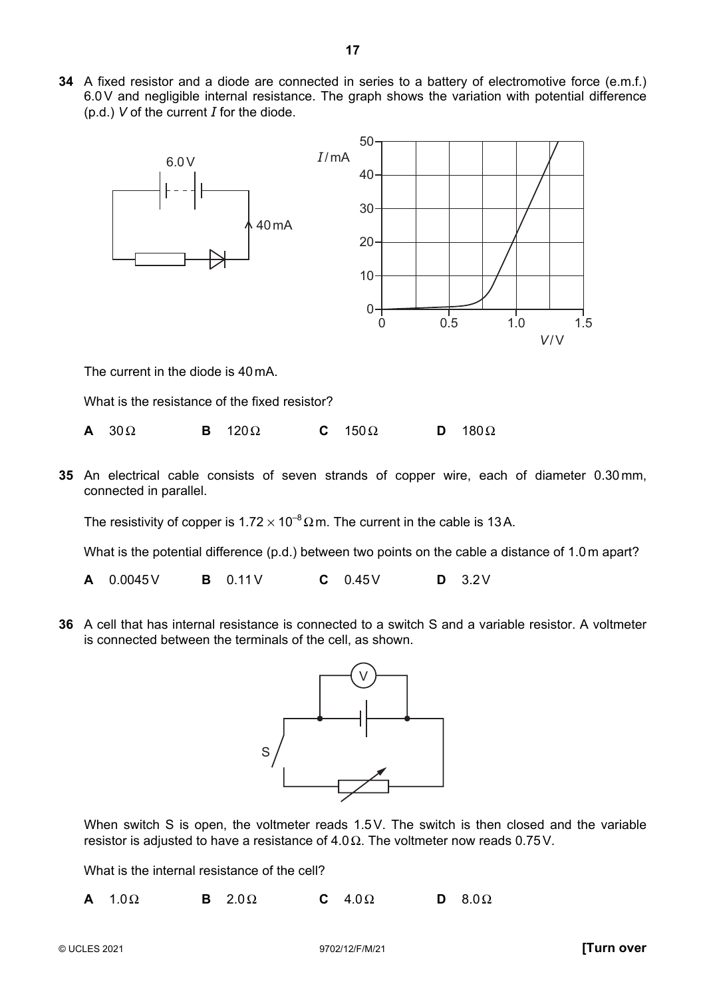**34** A fixed resistor and a diode are connected in series to a battery of electromotive force (e.m.f.) 6.0V and negligible internal resistance. The graph shows the variation with potential difference (p.d.) *V* of the current *I* for the diode.



The current in the diode is 40 mA.

What is the resistance of the fixed resistor?

|  | $\mathbf{A}$ 30 $\Omega$ |  | <b>B</b> $120\Omega$ |  | C $150 \Omega$ |  | <b>D</b> $180\Omega$ |
|--|--------------------------|--|----------------------|--|----------------|--|----------------------|
|--|--------------------------|--|----------------------|--|----------------|--|----------------------|

**35** An electrical cable consists of seven strands of copper wire, each of diameter 0.30 mm, connected in parallel.

The resistivity of copper is  $1.72 \times 10^{-8} \Omega$  m. The current in the cable is 13A.

What is the potential difference (p.d.) between two points on the cable a distance of 1.0 m apart?

**A** 0.0045V **B** 0.11V **C** 0.45V **D** 3.2V

**36** A cell that has internal resistance is connected to a switch S and a variable resistor. A voltmeter is connected between the terminals of the cell, as shown.



When switch S is open, the voltmeter reads 1.5V. The switch is then closed and the variable resistor is adjusted to have a resistance of  $4.0 \Omega$ . The voltmeter now reads 0.75V.

What is the internal resistance of the cell?

**A** 1.0Ω **B** 2.0Ω **C** 4.0Ω **D** 8.0Ω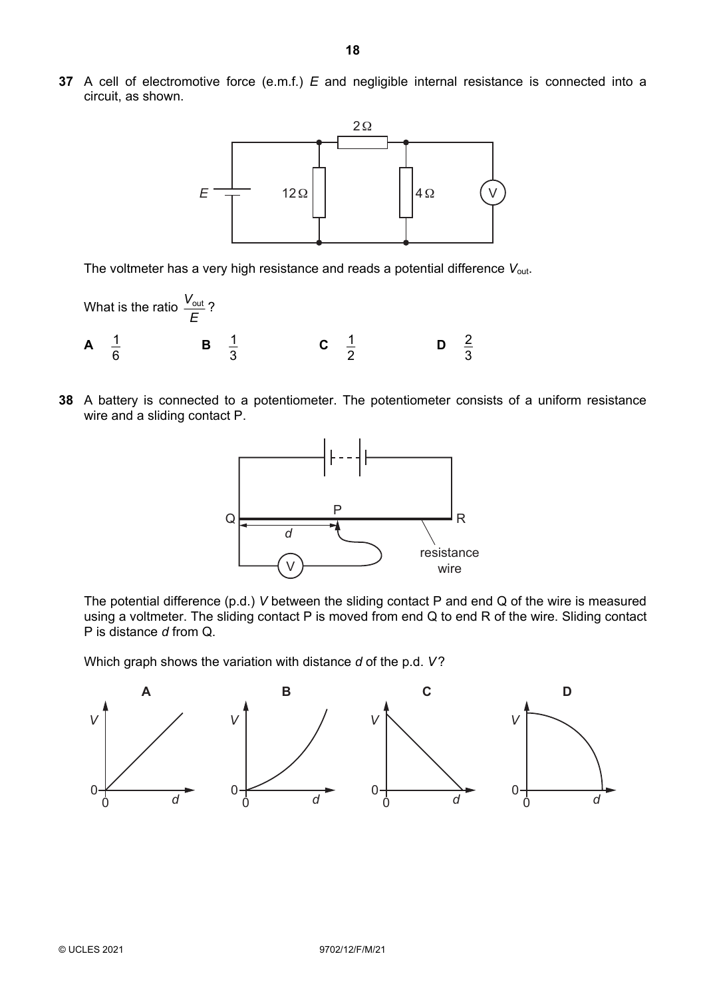**37** A cell of electromotive force (e.m.f.) *E* and negligible internal resistance is connected into a circuit, as shown.



The voltmeter has a very high resistance and reads a potential difference V<sub>out</sub>.

- What is the ratio *E*  $\frac{V_{\text{out}}}{I}$ ? **A**  $\frac{1}{6}$  $\frac{1}{2}$  B 3  $\frac{1}{2}$  **C** 2  $\frac{1}{2}$  D 3 2
- **38** A battery is connected to a potentiometer. The potentiometer consists of a uniform resistance wire and a sliding contact P.



The potential difference (p.d.) *V* between the sliding contact P and end Q of the wire is measured using a voltmeter. The sliding contact P is moved from end Q to end R of the wire. Sliding contact P is distance *d* from Q.

Which graph shows the variation with distance *d* of the p.d. *V*?

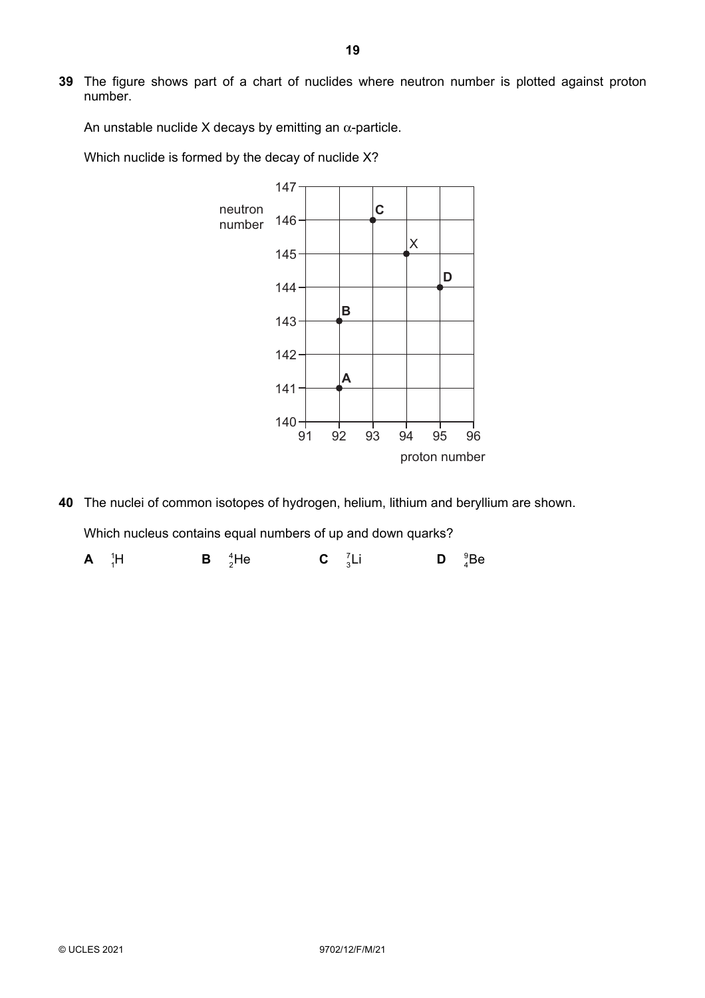**39** The figure shows part of a chart of nuclides where neutron number is plotted against proton number.

An unstable nuclide X decays by emitting an  $\alpha$ -particle.

Which nuclide is formed by the decay of nuclide X?



**40** The nuclei of common isotopes of hydrogen, helium, lithium and beryllium are shown. Which nucleus contains equal numbers of up and down quarks? **A**  ${}_{1}^{1}H$  ${}^{1}_{1}$ H **B**  ${}^{4}_{2}$ He **C**  ${}^{7}_{3}$ **C**  $\frac{7}{3}$ **Li**  $\mathsf{D}$   ${}_{4}^{9}$ Be